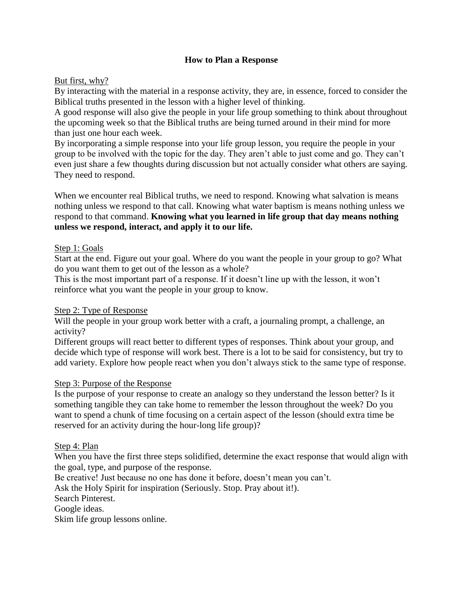# **How to Plan a Response**

## But first, why?

By interacting with the material in a response activity, they are, in essence, forced to consider the Biblical truths presented in the lesson with a higher level of thinking.

A good response will also give the people in your life group something to think about throughout the upcoming week so that the Biblical truths are being turned around in their mind for more than just one hour each week.

By incorporating a simple response into your life group lesson, you require the people in your group to be involved with the topic for the day. They aren't able to just come and go. They can't even just share a few thoughts during discussion but not actually consider what others are saying. They need to respond.

When we encounter real Biblical truths, we need to respond. Knowing what salvation is means nothing unless we respond to that call. Knowing what water baptism is means nothing unless we respond to that command. **Knowing what you learned in life group that day means nothing unless we respond, interact, and apply it to our life.**

## Step 1: Goals

Start at the end. Figure out your goal. Where do you want the people in your group to go? What do you want them to get out of the lesson as a whole?

This is the most important part of a response. If it doesn't line up with the lesson, it won't reinforce what you want the people in your group to know.

## Step 2: Type of Response

Will the people in your group work better with a craft, a journaling prompt, a challenge, an activity?

Different groups will react better to different types of responses. Think about your group, and decide which type of response will work best. There is a lot to be said for consistency, but try to add variety. Explore how people react when you don't always stick to the same type of response.

### Step 3: Purpose of the Response

Is the purpose of your response to create an analogy so they understand the lesson better? Is it something tangible they can take home to remember the lesson throughout the week? Do you want to spend a chunk of time focusing on a certain aspect of the lesson (should extra time be reserved for an activity during the hour-long life group)?

### Step 4: Plan

When you have the first three steps solidified, determine the exact response that would align with the goal, type, and purpose of the response.

Be creative! Just because no one has done it before, doesn't mean you can't.

Ask the Holy Spirit for inspiration (Seriously. Stop. Pray about it!).

Search Pinterest.

Google ideas.

Skim life group lessons online.